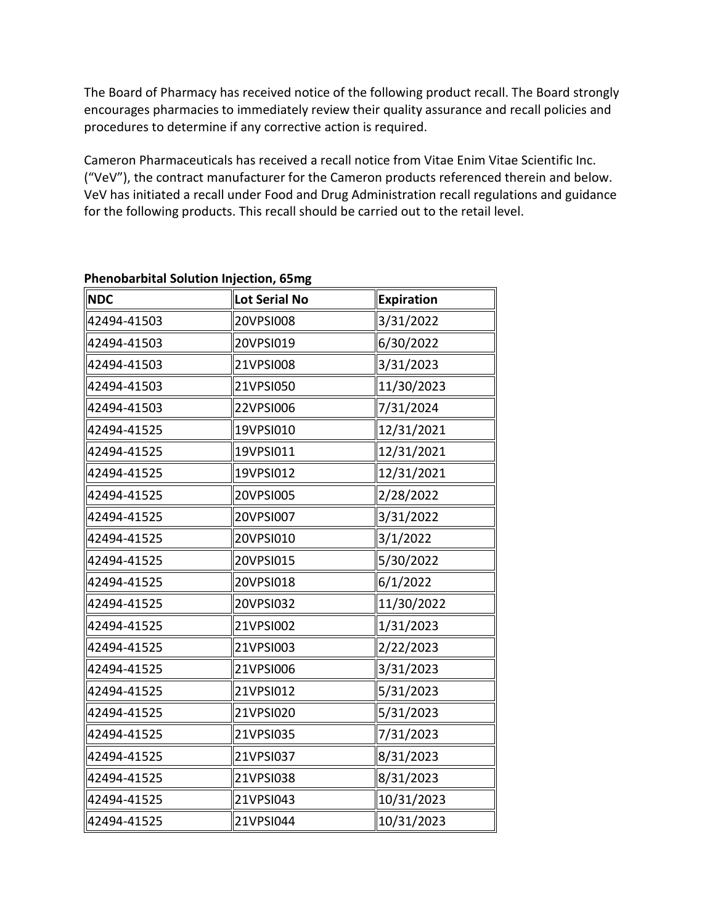The Board of Pharmacy has received notice of the following product recall. The Board strongly encourages pharmacies to immediately review their quality assurance and recall policies and procedures to determine if any corrective action is required.

 ("VeV"), the contract manufacturer for the Cameron products referenced therein and below. for the following products. This recall should be carried out to the retail level. Cameron Pharmaceuticals has received a recall notice from Vitae Enim Vitae Scientific Inc. VeV has initiated a recall under Food and Drug Administration recall regulations and guidance

| <b>NDC</b>  | <b>Lot Serial No</b> | <b>Expiration</b> |
|-------------|----------------------|-------------------|
| 42494-41503 | 20VPSI008            | 3/31/2022         |
| 42494-41503 | 20VPSI019            | 6/30/2022         |
| 42494-41503 | 21VPSI008            | 3/31/2023         |
| 42494-41503 | 21VPSI050            | 11/30/2023        |
| 42494-41503 | 22VPSI006            | 7/31/2024         |
| 42494-41525 | 19VPSI010            | 12/31/2021        |
| 42494-41525 | 19VPSI011            | 12/31/2021        |
| 42494-41525 | 19VPSI012            | 12/31/2021        |
| 42494-41525 | 20VPSI005            | 2/28/2022         |
| 42494-41525 | 20VPSI007            | 3/31/2022         |
| 42494-41525 | 20VPSI010            | 3/1/2022          |
| 42494-41525 | 20VPSI015            | 5/30/2022         |
| 42494-41525 | 20VPSI018            | 6/1/2022          |
| 42494-41525 | 20VPSI032            | 11/30/2022        |
| 42494-41525 | 21VPSI002            | 1/31/2023         |
| 42494-41525 | 21VPSI003            | 2/22/2023         |
| 42494-41525 | 21VPSI006            | 3/31/2023         |
| 42494-41525 | 21VPSI012            | 5/31/2023         |
| 42494-41525 | 21VPSI020            | 5/31/2023         |
| 42494-41525 | 21VPSI035            | 7/31/2023         |
| 42494-41525 | 21VPSI037            | 8/31/2023         |
| 42494-41525 | 21VPSI038            | 8/31/2023         |
| 42494-41525 | 21VPSI043            | 10/31/2023        |
| 42494-41525 | 21VPSI044            | 10/31/2023        |

## **Phenobarbital Solution Injection, 65mg**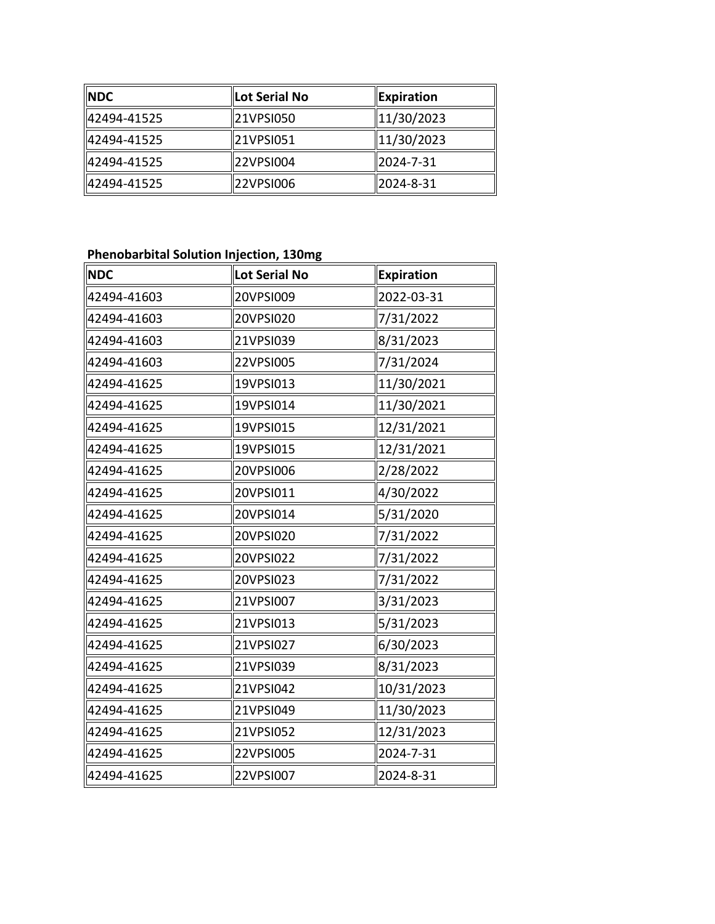| <b>NDC</b>  | Lot Serial No | <b>Expiration</b> |
|-------------|---------------|-------------------|
| 42494-41525 | 21VPSI050     | 11/30/2023        |
| 42494-41525 | 21VPSI051     | 11/30/2023        |
| 42494-41525 | 22VPSI004     | 2024-7-31         |
| 42494-41525 | 22VPSI006     | 2024-8-31         |

## **Phenobarbital Solution Injection, 130mg**

| <b>NDC</b>  | Lot Serial No | <b>Expiration</b> |
|-------------|---------------|-------------------|
| 42494-41603 | 20VPSI009     | 2022-03-31        |
| 42494-41603 | 20VPSI020     | 7/31/2022         |
| 42494-41603 | 21VPSI039     | 8/31/2023         |
| 42494-41603 | 22VPSI005     | 7/31/2024         |
| 42494-41625 | 19VPSI013     | 11/30/2021        |
| 42494-41625 | 19VPSI014     | 11/30/2021        |
| 42494-41625 | 19VPSI015     | 12/31/2021        |
| 42494-41625 | 19VPSI015     | 12/31/2021        |
| 42494-41625 | 20VPSI006     | 2/28/2022         |
| 42494-41625 | 20VPSI011     | 4/30/2022         |
| 42494-41625 | 20VPSI014     | 5/31/2020         |
| 42494-41625 | 20VPSI020     | 7/31/2022         |
| 42494-41625 | 20VPSI022     | 7/31/2022         |
| 42494-41625 | 20VPSI023     | 7/31/2022         |
| 42494-41625 | 21VPSI007     | 3/31/2023         |
| 42494-41625 | 21VPSI013     | 5/31/2023         |
| 42494-41625 | 21VPSI027     | 6/30/2023         |
| 42494-41625 | 21VPSI039     | 8/31/2023         |
| 42494-41625 | 21VPSI042     | 10/31/2023        |
| 42494-41625 | 21VPSI049     | 11/30/2023        |
| 42494-41625 | 21VPSI052     | 12/31/2023        |
| 42494-41625 | 22VPSI005     | 2024-7-31         |
| 42494-41625 | 22VPSI007     | 2024-8-31         |